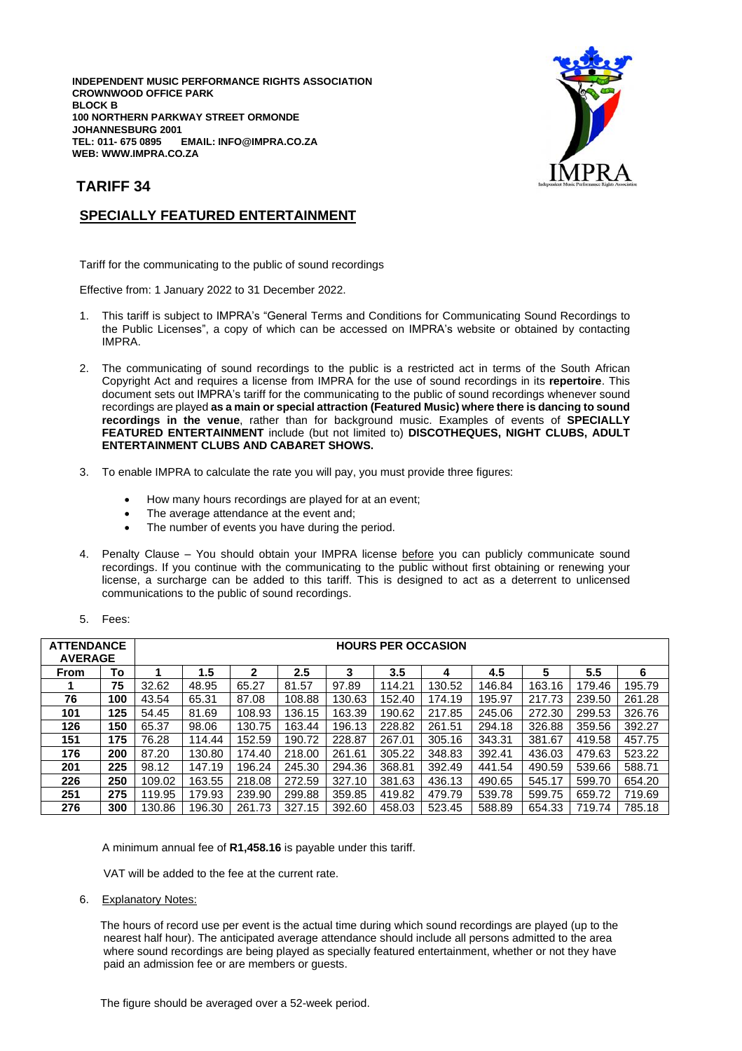**INDEPENDENT MUSIC PERFORMANCE RIGHTS ASSOCIATION CROWNWOOD OFFICE PARK BLOCK B 100 NORTHERN PARKWAY STREET ORMONDE JOHANNESBURG 2001 TEL: 011- 675 0895 EMAIL: INFO@IMPRA.CO.ZA WEB: WWW.IMPRA.CO.ZA**



## **TARIFF 34**

## **SPECIALLY FEATURED ENTERTAINMENT**

Tariff for the communicating to the public of sound recordings

Effective from: 1 January 2022 to 31 December 2022.

- 1. This tariff is subject to IMPRA's "General Terms and Conditions for Communicating Sound Recordings to the Public Licenses", a copy of which can be accessed on IMPRA's website or obtained by contacting IMPRA.
- 2. The communicating of sound recordings to the public is a restricted act in terms of the South African Copyright Act and requires a license from IMPRA for the use of sound recordings in its **repertoire**. This document sets out IMPRA's tariff for the communicating to the public of sound recordings whenever sound recordings are played **as a main or special attraction (Featured Music) where there is dancing to sound recordings in the venue**, rather than for background music. Examples of events of **SPECIALLY FEATURED ENTERTAINMENT** include (but not limited to) **DISCOTHEQUES, NIGHT CLUBS, ADULT ENTERTAINMENT CLUBS AND CABARET SHOWS.**
- 3. To enable IMPRA to calculate the rate you will pay, you must provide three figures:
	- How many hours recordings are played for at an event;
	- The average attendance at the event and;
	- The number of events you have during the period.
- 4. Penalty Clause You should obtain your IMPRA license before you can publicly communicate sound recordings. If you continue with the communicating to the public without first obtaining or renewing your license, a surcharge can be added to this tariff. This is designed to act as a deterrent to unlicensed communications to the public of sound recordings.

| <b>ATTENDANCE</b><br><b>AVERAGE</b> |     | <b>HOURS PER OCCASION</b> |        |              |        |        |        |        |        |        |        |        |
|-------------------------------------|-----|---------------------------|--------|--------------|--------|--------|--------|--------|--------|--------|--------|--------|
| <b>From</b>                         | To  |                           | 1.5    | $\mathbf{2}$ | 2.5    | 3      | 3.5    | 4      | 4.5    | 5      | 5.5    | 6      |
|                                     | 75  | 32.62                     | 48.95  | 65.27        | 81.57  | 97.89  | 114.21 | 130.52 | 146.84 | 163.16 | 179.46 | 195.79 |
| 76                                  | 100 | 43.54                     | 65.31  | 87.08        | 108.88 | 130.63 | 152.40 | 174.19 | 195.97 | 217.73 | 239.50 | 261.28 |
| 101                                 | 125 | 54.45                     | 81.69  | 108.93       | 136.15 | 163.39 | 190.62 | 217.85 | 245.06 | 272.30 | 299.53 | 326.76 |
| 126                                 | 150 | 65.37                     | 98.06  | 130.75       | 163.44 | 196.13 | 228.82 | 261.51 | 294.18 | 326.88 | 359.56 | 392.27 |
| 151                                 | 175 | 76.28                     | 114.44 | 152.59       | 190.72 | 228.87 | 267.01 | 305.16 | 343.31 | 381.67 | 419.58 | 457.75 |
| 176                                 | 200 | 87.20                     | 130.80 | 174.40       | 218.00 | 261.61 | 305.22 | 348.83 | 392.41 | 436.03 | 479.63 | 523.22 |
| 201                                 | 225 | 98.12                     | 147.19 | 196.24       | 245.30 | 294.36 | 368.81 | 392.49 | 441.54 | 490.59 | 539.66 | 588.71 |
| 226                                 | 250 | 109.02                    | 163.55 | 218.08       | 272.59 | 327.10 | 381.63 | 436.13 | 490.65 | 545.17 | 599.70 | 654.20 |
| 251                                 | 275 | 119.95                    | 179.93 | 239.90       | 299.88 | 359.85 | 419.82 | 479.79 | 539.78 | 599.75 | 659.72 | 719.69 |
| 276                                 | 300 | 130.86                    | 196.30 | 261.73       | 327.15 | 392.60 | 458.03 | 523.45 | 588.89 | 654.33 | 719.74 | 785.18 |

A minimum annual fee of **R1,458.16** is payable under this tariff.

VAT will be added to the fee at the current rate.

6. Explanatory Notes:

 The hours of record use per event is the actual time during which sound recordings are played (up to the nearest half hour). The anticipated average attendance should include all persons admitted to the area where sound recordings are being played as specially featured entertainment, whether or not they have paid an admission fee or are members or guests.